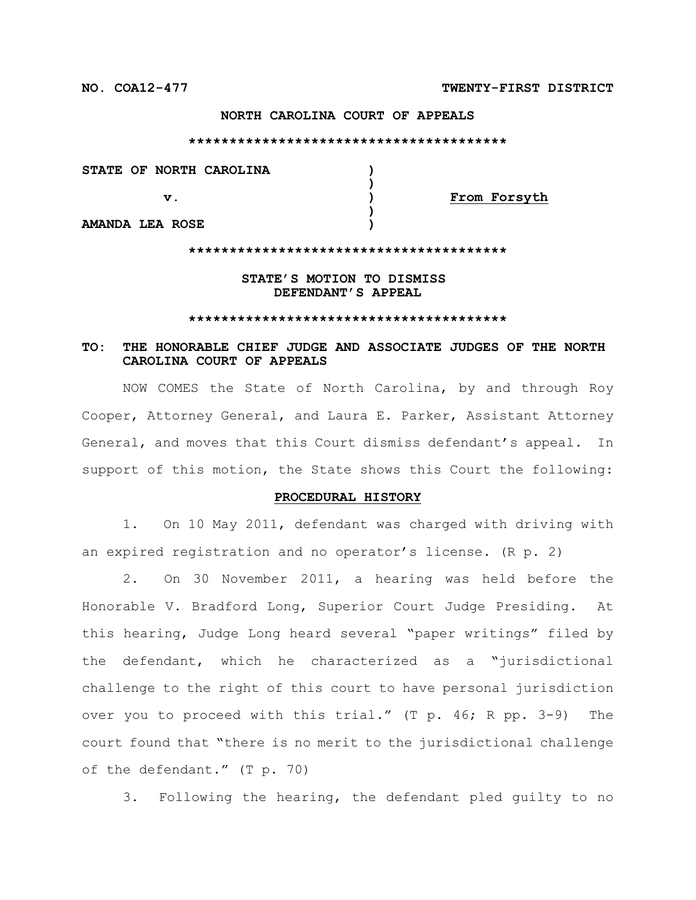### **NORTH CAROLINA COURT OF APPEALS**

#### **\*\*\*\*\*\*\*\*\*\*\*\*\*\*\*\*\*\*\*\*\*\*\*\*\*\*\*\*\*\*\*\*\*\*\*\*\*\*\***

**STATE OF NORTH CAROLINA ) ) v. ) From Forsyth )**

**AMANDA LEA ROSE )**

#### **\*\*\*\*\*\*\*\*\*\*\*\*\*\*\*\*\*\*\*\*\*\*\*\*\*\*\*\*\*\*\*\*\*\*\*\*\*\*\***

## **STATE'S MOTION TO DISMISS DEFENDANT'S APPEAL**

#### **\*\*\*\*\*\*\*\*\*\*\*\*\*\*\*\*\*\*\*\*\*\*\*\*\*\*\*\*\*\*\*\*\*\*\*\*\*\*\***

# **TO: THE HONORABLE CHIEF JUDGE AND ASSOCIATE JUDGES OF THE NORTH CAROLINA COURT OF APPEALS**

NOW COMES the State of North Carolina, by and through Roy Cooper, Attorney General, and Laura E. Parker, Assistant Attorney General, and moves that this Court dismiss defendant's appeal. In support of this motion, the State shows this Court the following:

#### **PROCEDURAL HISTORY**

1. On 10 May 2011, defendant was charged with driving with an expired registration and no operator's license. (R p. 2)

2. On 30 November 2011, a hearing was held before the Honorable V. Bradford Long, Superior Court Judge Presiding. At this hearing, Judge Long heard several "paper writings" filed by the defendant, which he characterized as a "jurisdictional challenge to the right of this court to have personal jurisdiction over you to proceed with this trial." (T p. 46; R pp. 3-9) The court found that "there is no merit to the jurisdictional challenge of the defendant." (T p. 70)

3. Following the hearing, the defendant pled guilty to no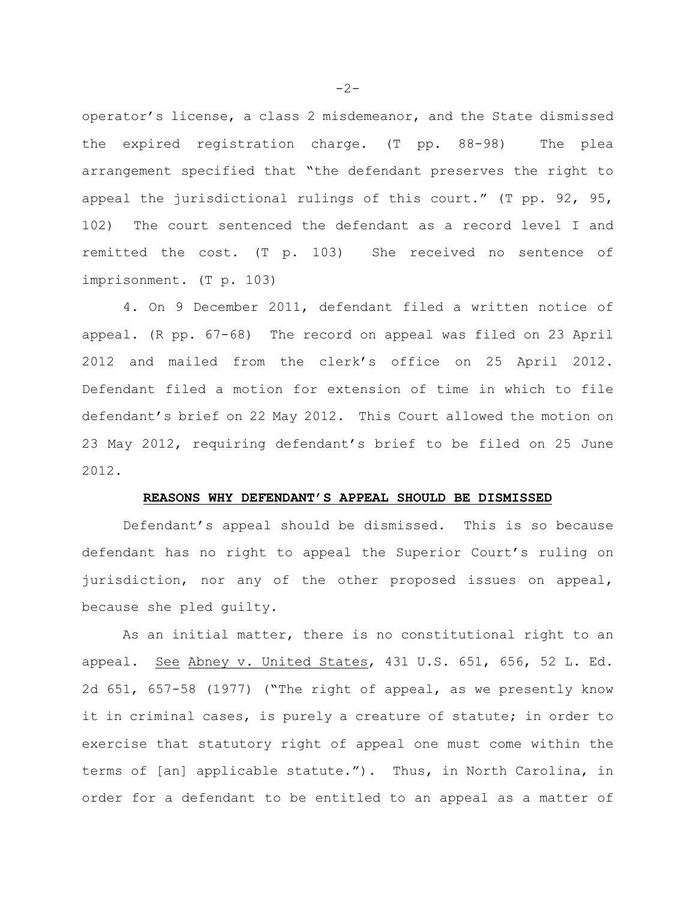operator's license, a class 2 misdemeanor, and the State dismissed the expired registration charge. (T pp. 88-98) The plea arrangement specified that "the defendant preserves the right to appeal the jurisdictional rulings of this court." (T pp. 92, 95, 102) The court sentenced the defendant as a record level I and remitted the cost. (T p. 103) She received no sentence of imprisonment. (T p. 103)

4. On 9 December 2011, defendant filed a written notice of appeal. (R pp. 67-68) The record on appeal was filed on 23 April 2012 and mailed from the clerk's office on 25 April 2012. Defendant filed a motion for extension of time in which to file defendant's brief on 22 May 2012. This Court allowed the motion on 23 May 2012, requiring defendant's brief to be filed on 25 June 2012.

### **REASONS WHY DEFENDANT'S APPEAL SHOULD BE DISMISSED**

Defendant's appeal should be dismissed. This is so because defendant has no right to appeal the Superior Court's ruling on jurisdiction, nor any of the other proposed issues on appeal, because she pled guilty.

As an initial matter, there is no constitutional right to an appeal. See Abney v. United States, 431 U.S. 651, 656, 52 L. Ed. 2d 651, 657-58 (1977) ("The right of appeal, as we presently know it in criminal cases, is purely a creature of statute; in order to exercise that statutory right of appeal one must come within the terms of [an] applicable statute."). Thus, in North Carolina, in order for a defendant to be entitled to an appeal as a matter of

 $-2-$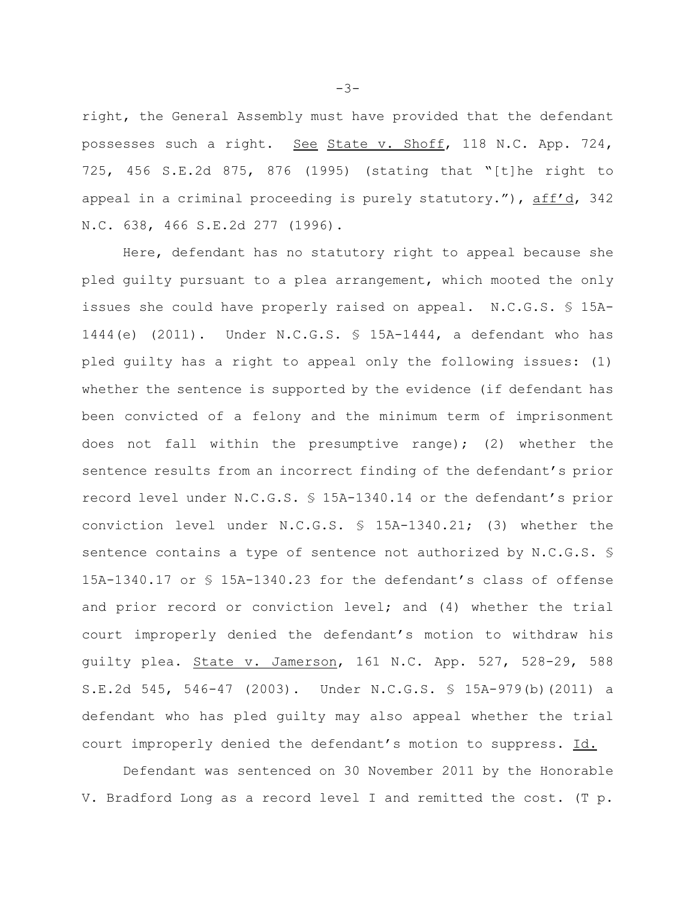right, the General Assembly must have provided that the defendant possesses such a right. See State v. Shoff, 118 N.C. App. 724, 725, 456 S.E.2d 875, 876 (1995) (stating that "[t]he right to appeal in a criminal proceeding is purely statutory."), aff'd, 342 N.C. 638, 466 S.E.2d 277 (1996).

Here, defendant has no statutory right to appeal because she pled guilty pursuant to a plea arrangement, which mooted the only issues she could have properly raised on appeal. N.C.G.S. § 15A-1444(e) (2011). Under N.C.G.S. § 15A-1444, a defendant who has pled guilty has a right to appeal only the following issues: (1) whether the sentence is supported by the evidence (if defendant has been convicted of a felony and the minimum term of imprisonment does not fall within the presumptive range); (2) whether the sentence results from an incorrect finding of the defendant's prior record level under N.C.G.S. § 15A-1340.14 or the defendant's prior conviction level under N.C.G.S. § 15A-1340.21; (3) whether the sentence contains a type of sentence not authorized by N.C.G.S. § 15A-1340.17 or § 15A-1340.23 for the defendant's class of offense and prior record or conviction level; and (4) whether the trial court improperly denied the defendant's motion to withdraw his guilty plea. State v. Jamerson, 161 N.C. App. 527, 528-29, 588 S.E.2d 545, 546-47 (2003). Under N.C.G.S. § 15A-979(b)(2011) a defendant who has pled guilty may also appeal whether the trial court improperly denied the defendant's motion to suppress. Id.

Defendant was sentenced on 30 November 2011 by the Honorable V. Bradford Long as a record level I and remitted the cost. (T p.

-3-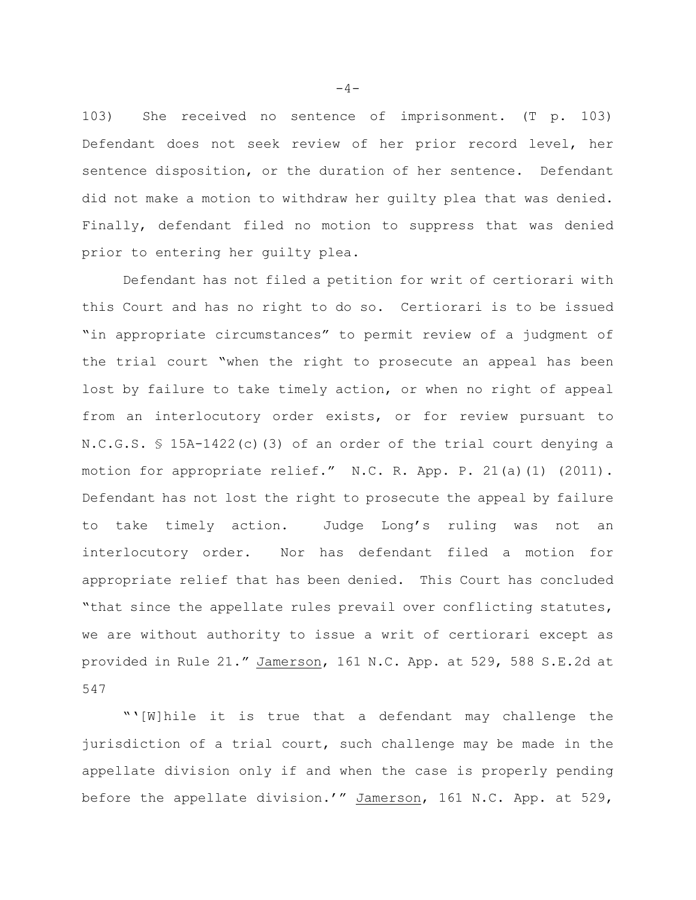103) She received no sentence of imprisonment. (T p. 103) Defendant does not seek review of her prior record level, her sentence disposition, or the duration of her sentence. Defendant did not make a motion to withdraw her guilty plea that was denied. Finally, defendant filed no motion to suppress that was denied prior to entering her guilty plea.

Defendant has not filed a petition for writ of certiorari with this Court and has no right to do so. Certiorari is to be issued "in appropriate circumstances" to permit review of a judgment of the trial court "when the right to prosecute an appeal has been lost by failure to take timely action, or when no right of appeal from an interlocutory order exists, or for review pursuant to N.C.G.S. § 15A-1422(c)(3) of an order of the trial court denying a motion for appropriate relief." N.C. R. App. P. 21(a)(1) (2011). Defendant has not lost the right to prosecute the appeal by failure to take timely action. Judge Long's ruling was not an interlocutory order. Nor has defendant filed a motion for appropriate relief that has been denied. This Court has concluded "that since the appellate rules prevail over conflicting statutes, we are without authority to issue a writ of certiorari except as provided in Rule 21." Jamerson, 161 N.C. App. at 529, 588 S.E.2d at 547

"'[W]hile it is true that a defendant may challenge the jurisdiction of a trial court, such challenge may be made in the appellate division only if and when the case is properly pending before the appellate division.'" Jamerson, 161 N.C. App. at 529,

 $-4-$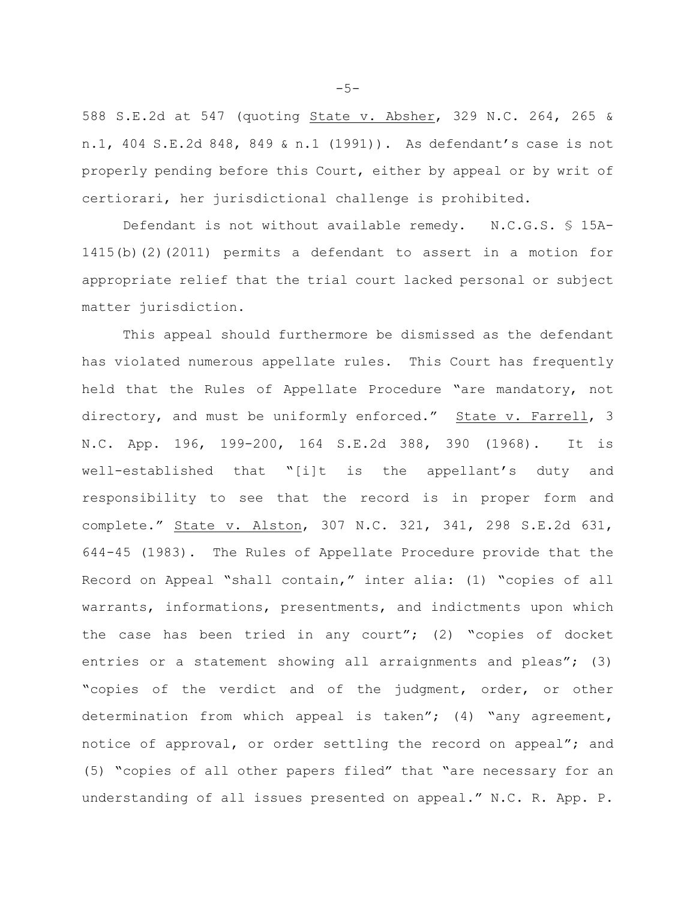588 S.E.2d at 547 (quoting State v. Absher, 329 N.C. 264, 265 & n.1, 404 S.E.2d 848, 849 & n.1 (1991)). As defendant's case is not properly pending before this Court, either by appeal or by writ of certiorari, her jurisdictional challenge is prohibited.

Defendant is not without available remedy. N.C.G.S. § 15A-1415(b)(2)(2011) permits a defendant to assert in a motion for appropriate relief that the trial court lacked personal or subject matter jurisdiction.

This appeal should furthermore be dismissed as the defendant has violated numerous appellate rules. This Court has frequently held that the Rules of Appellate Procedure "are mandatory, not directory, and must be uniformly enforced." State v. Farrell, 3 N.C. App. 196, 199-200, 164 S.E.2d 388, 390 (1968). It is well-established that "[i]t is the appellant's duty and responsibility to see that the record is in proper form and complete." State v. Alston, 307 N.C. 321, 341, 298 S.E.2d 631, 644-45 (1983). The Rules of Appellate Procedure provide that the Record on Appeal "shall contain," inter alia: (1) "copies of all warrants, informations, presentments, and indictments upon which the case has been tried in any court"; (2) "copies of docket entries or a statement showing all arraignments and pleas"; (3) "copies of the verdict and of the judgment, order, or other determination from which appeal is taken"; (4) "any agreement, notice of approval, or order settling the record on appeal"; and (5) "copies of all other papers filed" that "are necessary for an understanding of all issues presented on appeal." N.C. R. App. P.

-5-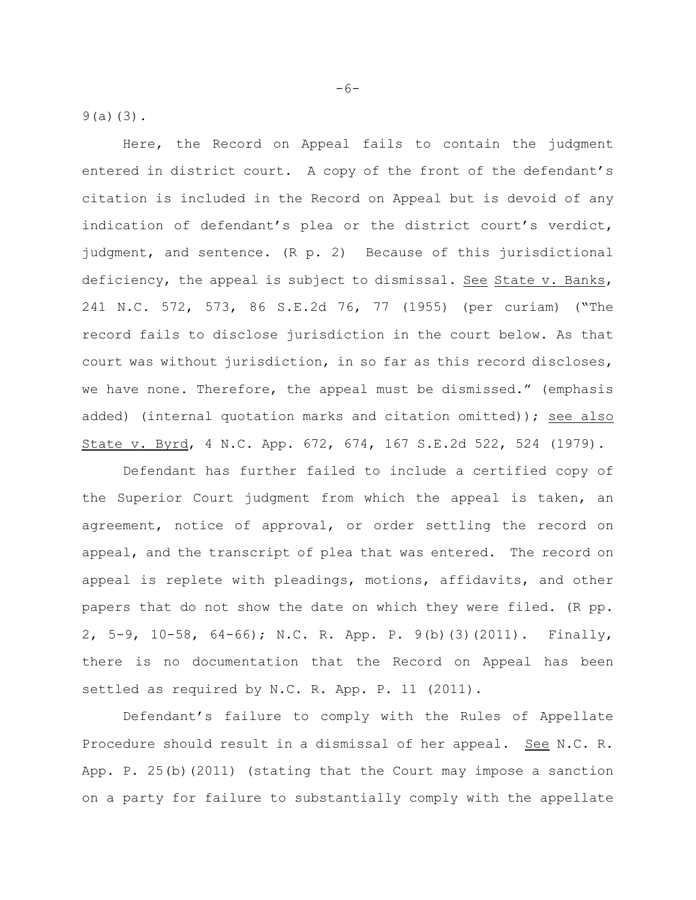9(a)(3).

Here, the Record on Appeal fails to contain the judgment entered in district court. A copy of the front of the defendant's citation is included in the Record on Appeal but is devoid of any indication of defendant's plea or the district court's verdict, judgment, and sentence. (R p. 2) Because of this jurisdictional deficiency, the appeal is subject to dismissal. See State v. Banks, 241 N.C. 572, 573, 86 S.E.2d 76, 77 (1955) (per curiam) ("The record fails to disclose jurisdiction in the court below. As that court was without jurisdiction, in so far as this record discloses, we have none. Therefore, the appeal must be dismissed." (emphasis added) (internal quotation marks and citation omitted)); see also State v. Byrd, 4 N.C. App. 672, 674, 167 S.E.2d 522, 524 (1979).

Defendant has further failed to include a certified copy of the Superior Court judgment from which the appeal is taken, an agreement, notice of approval, or order settling the record on appeal, and the transcript of plea that was entered. The record on appeal is replete with pleadings, motions, affidavits, and other papers that do not show the date on which they were filed. (R pp. 2, 5-9, 10-58, 64-66); N.C. R. App. P. 9(b)(3)(2011). Finally, there is no documentation that the Record on Appeal has been settled as required by N.C. R. App. P. 11 (2011).

Defendant's failure to comply with the Rules of Appellate Procedure should result in a dismissal of her appeal. See N.C. R. App. P. 25(b)(2011) (stating that the Court may impose a sanction on a party for failure to substantially comply with the appellate

 $-6-$